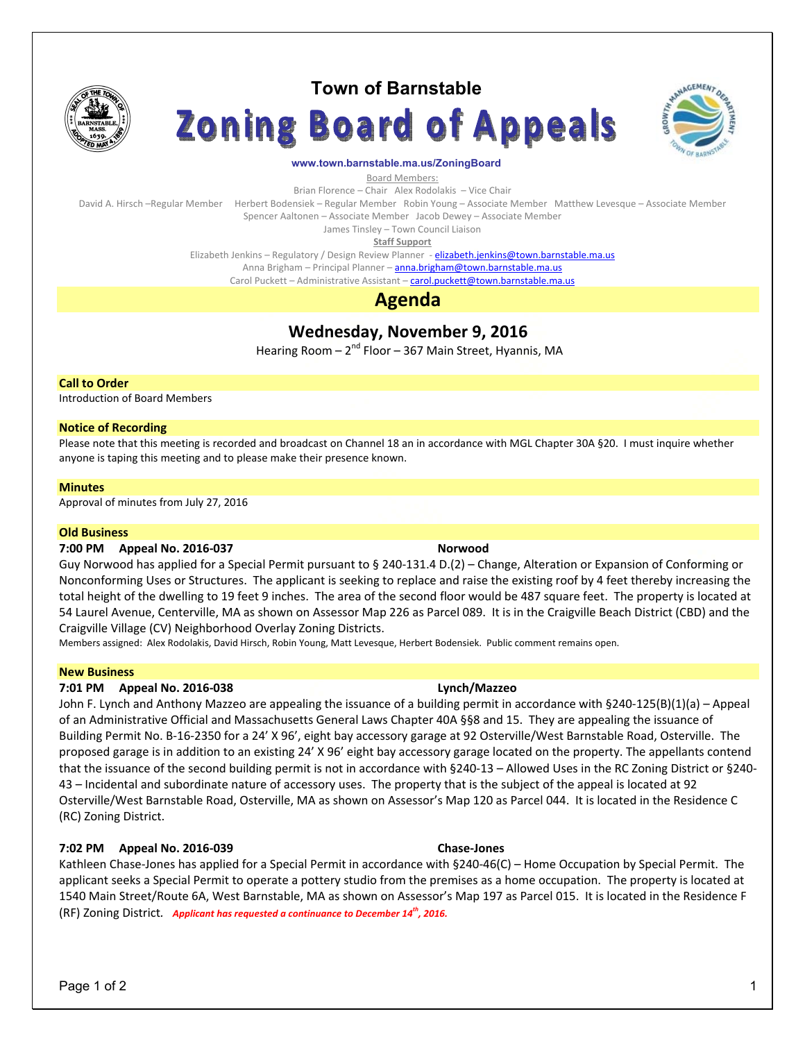

# **Town of Barnstable**





## **www.town.barnstable.ma.us/ZoningBoard**

Board Members:

Brian Florence – Chair Alex Rodolakis – Vice Chair

David A. Hirsch –Regular Member Herbert Bodensiek – Regular Member Robin Young – Associate Member Matthew Levesque – Associate Member

Spencer Aaltonen – Associate Member Jacob Dewey – Associate Member

James Tinsley – Town Council Liaison **Staff Support** 

Elizabeth Jenkins - Regulatory / Design Review Planner - elizabeth.jenkins@town.barnstable.ma.us

Anna Brigham – Principal Planner – anna.brigham@town.barnstable.ma.us Carol Puckett – Administrative Assistant – carol.puckett@town.barnstable.ma.us

# **Agenda**

**Wednesday, November 9, 2016** 

Hearing Room  $-2^{nd}$  Floor  $-367$  Main Street, Hyannis, MA

# **Call to Order**

Introduction of Board Members

# **Notice of Recording**

Please note that this meeting is recorded and broadcast on Channel 18 an in accordance with MGL Chapter 30A §20. I must inquire whether anyone is taping this meeting and to please make their presence known.

# **Minutes**

Approval of minutes from July 27, 2016

# **Old Business**

# **7:00 PM Appeal No. 2016-037 Norwood**

Guy Norwood has applied for a Special Permit pursuant to § 240-131.4 D.(2) – Change, Alteration or Expansion of Conforming or Nonconforming Uses or Structures. The applicant is seeking to replace and raise the existing roof by 4 feet thereby increasing the total height of the dwelling to 19 feet 9 inches. The area of the second floor would be 487 square feet. The property is located at 54 Laurel Avenue, Centerville, MA as shown on Assessor Map 226 as Parcel 089. It is in the Craigville Beach District (CBD) and the Craigville Village (CV) Neighborhood Overlay Zoning Districts.

Members assigned: Alex Rodolakis, David Hirsch, Robin Young, Matt Levesque, Herbert Bodensiek. Public comment remains open.

# **New Business**

# **7:01 PM Appeal No. 2016-038 Lynch/Mazzeo**

John F. Lynch and Anthony Mazzeo are appealing the issuance of a building permit in accordance with §240-125(B)(1)(a) – Appeal of an Administrative Official and Massachusetts General Laws Chapter 40A §§8 and 15. They are appealing the issuance of Building Permit No. B-16-2350 for a 24' X 96', eight bay accessory garage at 92 Osterville/West Barnstable Road, Osterville. The proposed garage is in addition to an existing 24' X 96' eight bay accessory garage located on the property. The appellants contend that the issuance of the second building permit is not in accordance with §240-13 – Allowed Uses in the RC Zoning District or §240- 43 – Incidental and subordinate nature of accessory uses. The property that is the subject of the appeal is located at 92 Osterville/West Barnstable Road, Osterville, MA as shown on Assessor's Map 120 as Parcel 044. It is located in the Residence C (RC) Zoning District.

# **7:02 PM Appeal No. 2016-039 Chase-Jones**

Kathleen Chase-Jones has applied for a Special Permit in accordance with §240-46(C) – Home Occupation by Special Permit. The applicant seeks a Special Permit to operate a pottery studio from the premises as a home occupation. The property is located at 1540 Main Street/Route 6A, West Barnstable, MA as shown on Assessor's Map 197 as Parcel 015. It is located in the Residence F (RF) Zoning District*. Applicant has requested a continuance to December 14th, 2016.*